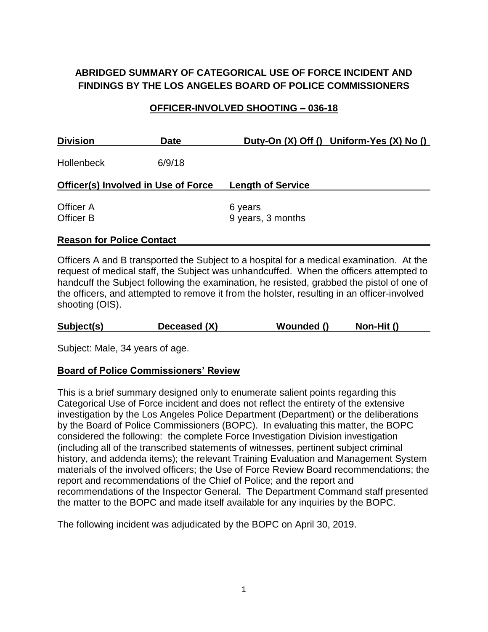# **ABRIDGED SUMMARY OF CATEGORICAL USE OF FORCE INCIDENT AND FINDINGS BY THE LOS ANGELES BOARD OF POLICE COMMISSIONERS**

#### **OFFICER-INVOLVED SHOOTING – 036-18**

| <b>Division</b>                      | <b>Date</b> |                              | Duty-On (X) Off () Uniform-Yes (X) No () |
|--------------------------------------|-------------|------------------------------|------------------------------------------|
| <b>Hollenbeck</b>                    | 6/9/18      |                              |                                          |
| Officer(s) Involved in Use of Force  |             | <b>Length of Service</b>     |                                          |
| <b>Officer A</b><br><b>Officer B</b> |             | 6 years<br>9 years, 3 months |                                          |

#### **Reason for Police Contact**

Officers A and B transported the Subject to a hospital for a medical examination. At the request of medical staff, the Subject was unhandcuffed. When the officers attempted to handcuff the Subject following the examination, he resisted, grabbed the pistol of one of the officers, and attempted to remove it from the holster, resulting in an officer-involved shooting (OIS).

Subject: Male, 34 years of age.

#### **Board of Police Commissioners' Review**

This is a brief summary designed only to enumerate salient points regarding this Categorical Use of Force incident and does not reflect the entirety of the extensive investigation by the Los Angeles Police Department (Department) or the deliberations by the Board of Police Commissioners (BOPC). In evaluating this matter, the BOPC considered the following: the complete Force Investigation Division investigation (including all of the transcribed statements of witnesses, pertinent subject criminal history, and addenda items); the relevant Training Evaluation and Management System materials of the involved officers; the Use of Force Review Board recommendations; the report and recommendations of the Chief of Police; and the report and recommendations of the Inspector General. The Department Command staff presented the matter to the BOPC and made itself available for any inquiries by the BOPC.

The following incident was adjudicated by the BOPC on April 30, 2019.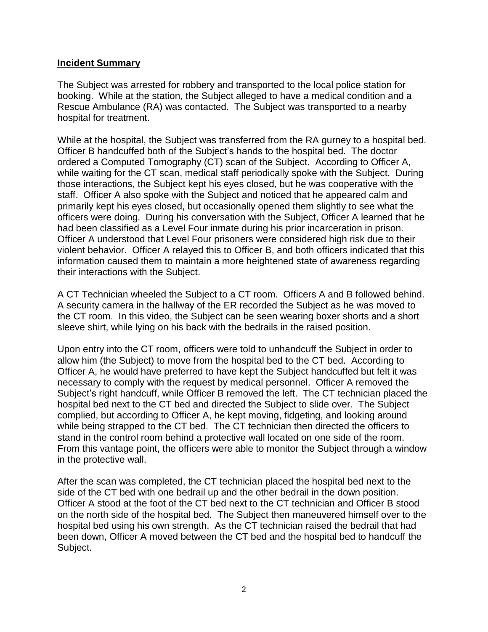#### **Incident Summary**

The Subject was arrested for robbery and transported to the local police station for booking. While at the station, the Subject alleged to have a medical condition and a Rescue Ambulance (RA) was contacted. The Subject was transported to a nearby hospital for treatment.

While at the hospital, the Subject was transferred from the RA gurney to a hospital bed. Officer B handcuffed both of the Subject's hands to the hospital bed. The doctor ordered a Computed Tomography (CT) scan of the Subject. According to Officer A, while waiting for the CT scan, medical staff periodically spoke with the Subject. During those interactions, the Subject kept his eyes closed, but he was cooperative with the staff. Officer A also spoke with the Subject and noticed that he appeared calm and primarily kept his eyes closed, but occasionally opened them slightly to see what the officers were doing. During his conversation with the Subject, Officer A learned that he had been classified as a Level Four inmate during his prior incarceration in prison. Officer A understood that Level Four prisoners were considered high risk due to their violent behavior. Officer A relayed this to Officer B, and both officers indicated that this information caused them to maintain a more heightened state of awareness regarding their interactions with the Subject.

A CT Technician wheeled the Subject to a CT room. Officers A and B followed behind. A security camera in the hallway of the ER recorded the Subject as he was moved to the CT room. In this video, the Subject can be seen wearing boxer shorts and a short sleeve shirt, while lying on his back with the bedrails in the raised position.

Upon entry into the CT room, officers were told to unhandcuff the Subject in order to allow him (the Subject) to move from the hospital bed to the CT bed. According to Officer A, he would have preferred to have kept the Subject handcuffed but felt it was necessary to comply with the request by medical personnel. Officer A removed the Subject's right handcuff, while Officer B removed the left. The CT technician placed the hospital bed next to the CT bed and directed the Subject to slide over. The Subject complied, but according to Officer A, he kept moving, fidgeting, and looking around while being strapped to the CT bed. The CT technician then directed the officers to stand in the control room behind a protective wall located on one side of the room. From this vantage point, the officers were able to monitor the Subject through a window in the protective wall.

After the scan was completed, the CT technician placed the hospital bed next to the side of the CT bed with one bedrail up and the other bedrail in the down position. Officer A stood at the foot of the CT bed next to the CT technician and Officer B stood on the north side of the hospital bed. The Subject then maneuvered himself over to the hospital bed using his own strength. As the CT technician raised the bedrail that had been down, Officer A moved between the CT bed and the hospital bed to handcuff the Subject.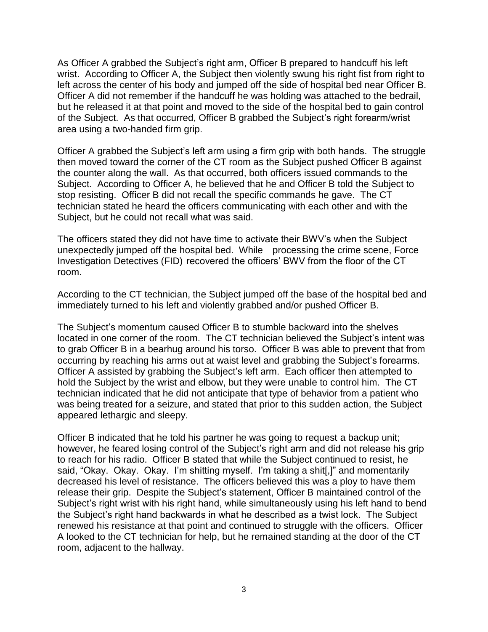As Officer A grabbed the Subject's right arm, Officer B prepared to handcuff his left wrist. According to Officer A, the Subject then violently swung his right fist from right to left across the center of his body and jumped off the side of hospital bed near Officer B. Officer A did not remember if the handcuff he was holding was attached to the bedrail, but he released it at that point and moved to the side of the hospital bed to gain control of the Subject. As that occurred, Officer B grabbed the Subject's right forearm/wrist area using a two-handed firm grip.

Officer A grabbed the Subject's left arm using a firm grip with both hands. The struggle then moved toward the corner of the CT room as the Subject pushed Officer B against the counter along the wall. As that occurred, both officers issued commands to the Subject. According to Officer A, he believed that he and Officer B told the Subject to stop resisting. Officer B did not recall the specific commands he gave. The CT technician stated he heard the officers communicating with each other and with the Subject, but he could not recall what was said.

The officers stated they did not have time to activate their BWV's when the Subject unexpectedly jumped off the hospital bed. While processing the crime scene, Force Investigation Detectives (FID) recovered the officers' BWV from the floor of the CT room.

According to the CT technician, the Subject jumped off the base of the hospital bed and immediately turned to his left and violently grabbed and/or pushed Officer B.

The Subject's momentum caused Officer B to stumble backward into the shelves located in one corner of the room. The CT technician believed the Subject's intent was to grab Officer B in a bearhug around his torso. Officer B was able to prevent that from occurring by reaching his arms out at waist level and grabbing the Subject's forearms. Officer A assisted by grabbing the Subject's left arm. Each officer then attempted to hold the Subject by the wrist and elbow, but they were unable to control him. The CT technician indicated that he did not anticipate that type of behavior from a patient who was being treated for a seizure, and stated that prior to this sudden action, the Subject appeared lethargic and sleepy.

Officer B indicated that he told his partner he was going to request a backup unit; however, he feared losing control of the Subiect's right arm and did not release his grip to reach for his radio. Officer B stated that while the Subject continued to resist, he said, "Okay. Okay. Okay. I'm shitting myself. I'm taking a shit[,]" and momentarily decreased his level of resistance. The officers believed this was a ploy to have them release their grip. Despite the Subject's statement, Officer B maintained control of the Subject's right wrist with his right hand, while simultaneously using his left hand to bend the Subject's right hand backwards in what he described as a twist lock. The Subject renewed his resistance at that point and continued to struggle with the officers. Officer A looked to the CT technician for help, but he remained standing at the door of the CT room, adjacent to the hallway.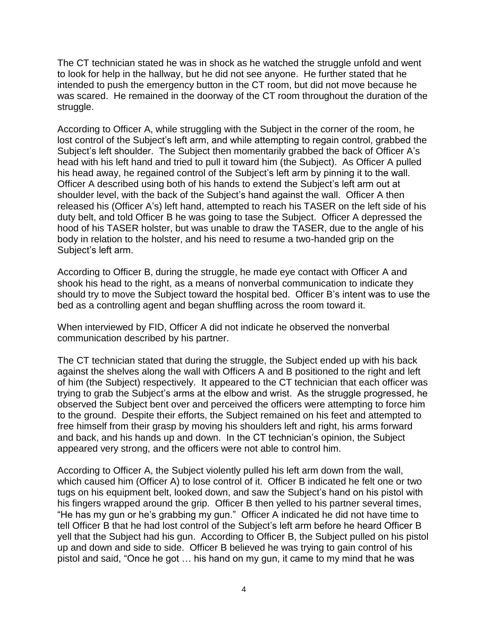The CT technician stated he was in shock as he watched the struggle unfold and went to look for help in the hallway, but he did not see anyone. He further stated that he intended to push the emergency button in the CT room, but did not move because he was scared. He remained in the doorway of the CT room throughout the duration of the struggle.

According to Officer A, while struggling with the Subject in the corner of the room, he lost control of the Subject's left arm, and while attempting to regain control, grabbed the Subject's left shoulder. The Subject then momentarily grabbed the back of Officer A's head with his left hand and tried to pull it toward him (the Subject). As Officer A pulled his head away, he regained control of the Subject's left arm by pinning it to the wall. Officer A described using both of his hands to extend the Subject's left arm out at shoulder level, with the back of the Subject's hand against the wall. Officer A then released his (Officer A's) left hand, attempted to reach his TASER on the left side of his duty belt, and told Officer B he was going to tase the Subject. Officer A depressed the hood of his TASER holster, but was unable to draw the TASER, due to the angle of his body in relation to the holster, and his need to resume a two-handed grip on the Subject's left arm.

According to Officer B, during the struggle, he made eye contact with Officer A and shook his head to the right, as a means of nonverbal communication to indicate they should try to move the Subject toward the hospital bed. Officer B's intent was to use the bed as a controlling agent and began shuffling across the room toward it.

When interviewed by FID, Officer A did not indicate he observed the nonverbal communication described by his partner.

The CT technician stated that during the struggle, the Subject ended up with his back against the shelves along the wall with Officers A and B positioned to the right and left of him (the Subject) respectively. It appeared to the CT technician that each officer was trying to grab the Subject's arms at the elbow and wrist. As the struggle progressed, he observed the Subject bent over and perceived the officers were attempting to force him to the ground. Despite their efforts, the Subject remained on his feet and attempted to free himself from their grasp by moving his shoulders left and right, his arms forward and back, and his hands up and down. In the CT technician's opinion, the Subject appeared very strong, and the officers were not able to control him.

According to Officer A, the Subject violently pulled his left arm down from the wall, which caused him (Officer A) to lose control of it. Officer B indicated he felt one or two tugs on his equipment belt, looked down, and saw the Subject's hand on his pistol with his fingers wrapped around the grip. Officer B then yelled to his partner several times, "He has my gun or he's grabbing my gun." Officer A indicated he did not have time to tell Officer B that he had lost control of the Subject's left arm before he heard Officer B yell that the Subject had his gun. According to Officer B, the Subject pulled on his pistol up and down and side to side. Officer B believed he was trying to gain control of his pistol and said, "Once he got … his hand on my gun, it came to my mind that he was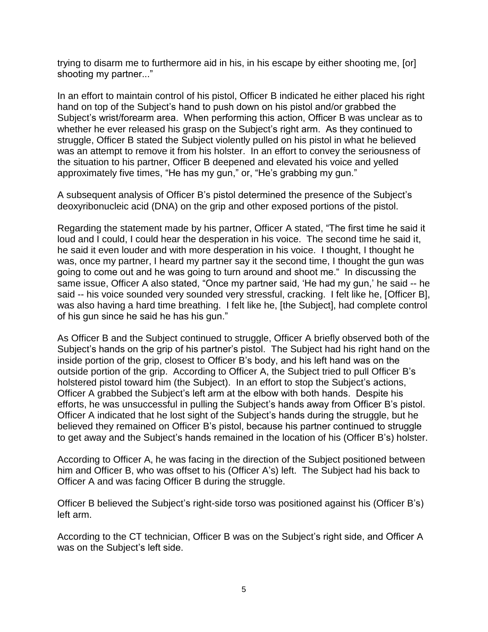trying to disarm me to furthermore aid in his, in his escape by either shooting me, [or] shooting my partner..."

In an effort to maintain control of his pistol, Officer B indicated he either placed his right hand on top of the Subject's hand to push down on his pistol and/or grabbed the Subject's wrist/forearm area. When performing this action, Officer B was unclear as to whether he ever released his grasp on the Subject's right arm. As they continued to struggle, Officer B stated the Subject violently pulled on his pistol in what he believed was an attempt to remove it from his holster. In an effort to convey the seriousness of the situation to his partner, Officer B deepened and elevated his voice and yelled approximately five times, "He has my gun," or, "He's grabbing my gun."

A subsequent analysis of Officer B's pistol determined the presence of the Subject's deoxyribonucleic acid (DNA) on the grip and other exposed portions of the pistol.

Regarding the statement made by his partner, Officer A stated, "The first time he said it loud and I could, I could hear the desperation in his voice. The second time he said it, he said it even louder and with more desperation in his voice. I thought, I thought he was, once my partner, I heard my partner say it the second time, I thought the gun was going to come out and he was going to turn around and shoot me." In discussing the same issue, Officer A also stated, "Once my partner said, 'He had my gun,' he said -- he said -- his voice sounded very sounded very stressful, cracking. I felt like he, [Officer B], was also having a hard time breathing. I felt like he, [the Subject], had complete control of his gun since he said he has his gun."

As Officer B and the Subject continued to struggle, Officer A briefly observed both of the Subject's hands on the grip of his partner's pistol. The Subject had his right hand on the inside portion of the grip, closest to Officer B's body, and his left hand was on the outside portion of the grip. According to Officer A, the Subject tried to pull Officer B's holstered pistol toward him (the Subject). In an effort to stop the Subject's actions, Officer A grabbed the Subject's left arm at the elbow with both hands. Despite his efforts, he was unsuccessful in pulling the Subject's hands away from Officer B's pistol. Officer A indicated that he lost sight of the Subject's hands during the struggle, but he believed they remained on Officer B's pistol, because his partner continued to struggle to get away and the Subject's hands remained in the location of his (Officer B's) holster.

According to Officer A, he was facing in the direction of the Subject positioned between him and Officer B, who was offset to his (Officer A's) left. The Subject had his back to Officer A and was facing Officer B during the struggle.

Officer B believed the Subject's right-side torso was positioned against his (Officer B's) left arm.

According to the CT technician, Officer B was on the Subject's right side, and Officer A was on the Subject's left side.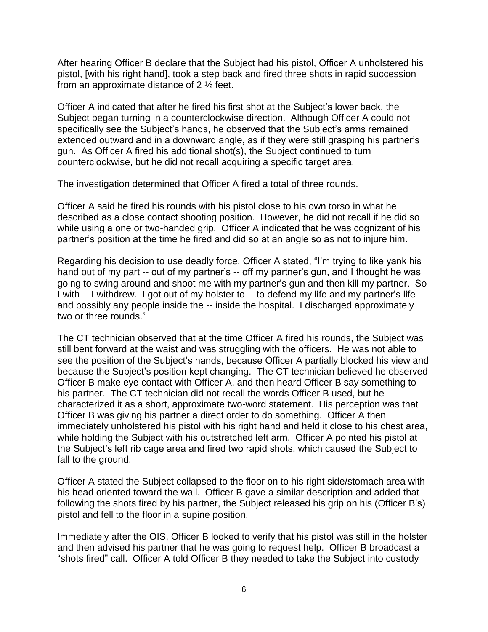After hearing Officer B declare that the Subject had his pistol, Officer A unholstered his pistol, [with his right hand], took a step back and fired three shots in rapid succession from an approximate distance of 2 ½ feet.

Officer A indicated that after he fired his first shot at the Subject's lower back, the Subject began turning in a counterclockwise direction. Although Officer A could not specifically see the Subject's hands, he observed that the Subject's arms remained extended outward and in a downward angle, as if they were still grasping his partner's gun. As Officer A fired his additional shot(s), the Subject continued to turn counterclockwise, but he did not recall acquiring a specific target area.

The investigation determined that Officer A fired a total of three rounds.

Officer A said he fired his rounds with his pistol close to his own torso in what he described as a close contact shooting position. However, he did not recall if he did so while using a one or two-handed grip. Officer A indicated that he was cognizant of his partner's position at the time he fired and did so at an angle so as not to injure him.

Regarding his decision to use deadly force, Officer A stated, "I'm trying to like yank his hand out of my part -- out of my partner's -- off my partner's gun, and I thought he was going to swing around and shoot me with my partner's gun and then kill my partner. So I with -- I withdrew. I got out of my holster to -- to defend my life and my partner's life and possibly any people inside the -- inside the hospital. I discharged approximately two or three rounds."

The CT technician observed that at the time Officer A fired his rounds, the Subject was still bent forward at the waist and was struggling with the officers. He was not able to see the position of the Subject's hands, because Officer A partially blocked his view and because the Subject's position kept changing. The CT technician believed he observed Officer B make eye contact with Officer A, and then heard Officer B say something to his partner. The CT technician did not recall the words Officer B used, but he characterized it as a short, approximate two-word statement. His perception was that Officer B was giving his partner a direct order to do something. Officer A then immediately unholstered his pistol with his right hand and held it close to his chest area, while holding the Subject with his outstretched left arm. Officer A pointed his pistol at the Subject's left rib cage area and fired two rapid shots, which caused the Subject to fall to the ground.

Officer A stated the Subject collapsed to the floor on to his right side/stomach area with his head oriented toward the wall. Officer B gave a similar description and added that following the shots fired by his partner, the Subject released his grip on his (Officer B's) pistol and fell to the floor in a supine position.

Immediately after the OIS, Officer B looked to verify that his pistol was still in the holster and then advised his partner that he was going to request help. Officer B broadcast a "shots fired" call. Officer A told Officer B they needed to take the Subject into custody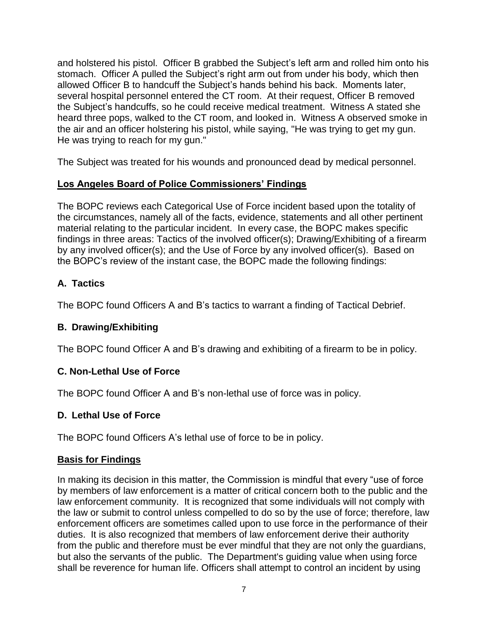and holstered his pistol. Officer B grabbed the Subject's left arm and rolled him onto his stomach. Officer A pulled the Subject's right arm out from under his body, which then allowed Officer B to handcuff the Subject's hands behind his back. Moments later, several hospital personnel entered the CT room. At their request, Officer B removed the Subject's handcuffs, so he could receive medical treatment. Witness A stated she heard three pops, walked to the CT room, and looked in. Witness A observed smoke in the air and an officer holstering his pistol, while saying, "He was trying to get my gun. He was trying to reach for my gun."

The Subject was treated for his wounds and pronounced dead by medical personnel.

# **Los Angeles Board of Police Commissioners' Findings**

The BOPC reviews each Categorical Use of Force incident based upon the totality of the circumstances, namely all of the facts, evidence, statements and all other pertinent material relating to the particular incident. In every case, the BOPC makes specific findings in three areas: Tactics of the involved officer(s); Drawing/Exhibiting of a firearm by any involved officer(s); and the Use of Force by any involved officer(s). Based on the BOPC's review of the instant case, the BOPC made the following findings:

# **A. Tactics**

The BOPC found Officers A and B's tactics to warrant a finding of Tactical Debrief.

# **B. Drawing/Exhibiting**

The BOPC found Officer A and B's drawing and exhibiting of a firearm to be in policy.

# **C. Non-Lethal Use of Force**

The BOPC found Officer A and B's non-lethal use of force was in policy.

# **D. Lethal Use of Force**

The BOPC found Officers A's lethal use of force to be in policy.

# **Basis for Findings**

In making its decision in this matter, the Commission is mindful that every "use of force by members of law enforcement is a matter of critical concern both to the public and the law enforcement community. It is recognized that some individuals will not comply with the law or submit to control unless compelled to do so by the use of force; therefore, law enforcement officers are sometimes called upon to use force in the performance of their duties. It is also recognized that members of law enforcement derive their authority from the public and therefore must be ever mindful that they are not only the guardians, but also the servants of the public. The Department's guiding value when using force shall be reverence for human life. Officers shall attempt to control an incident by using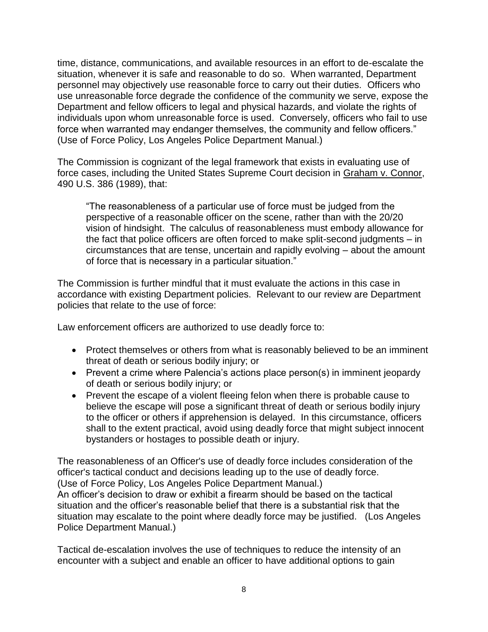time, distance, communications, and available resources in an effort to de-escalate the situation, whenever it is safe and reasonable to do so. When warranted, Department personnel may objectively use reasonable force to carry out their duties. Officers who use unreasonable force degrade the confidence of the community we serve, expose the Department and fellow officers to legal and physical hazards, and violate the rights of individuals upon whom unreasonable force is used. Conversely, officers who fail to use force when warranted may endanger themselves, the community and fellow officers." (Use of Force Policy, Los Angeles Police Department Manual.)

The Commission is cognizant of the legal framework that exists in evaluating use of force cases, including the United States Supreme Court decision in Graham v. Connor, 490 U.S. 386 (1989), that:

"The reasonableness of a particular use of force must be judged from the perspective of a reasonable officer on the scene, rather than with the 20/20 vision of hindsight. The calculus of reasonableness must embody allowance for the fact that police officers are often forced to make split-second judgments – in circumstances that are tense, uncertain and rapidly evolving – about the amount of force that is necessary in a particular situation."

The Commission is further mindful that it must evaluate the actions in this case in accordance with existing Department policies. Relevant to our review are Department policies that relate to the use of force:

Law enforcement officers are authorized to use deadly force to:

- Protect themselves or others from what is reasonably believed to be an imminent threat of death or serious bodily injury; or
- Prevent a crime where Palencia's actions place person(s) in imminent jeopardy of death or serious bodily injury; or
- Prevent the escape of a violent fleeing felon when there is probable cause to believe the escape will pose a significant threat of death or serious bodily injury to the officer or others if apprehension is delayed. In this circumstance, officers shall to the extent practical, avoid using deadly force that might subject innocent bystanders or hostages to possible death or injury.

The reasonableness of an Officer's use of deadly force includes consideration of the officer's tactical conduct and decisions leading up to the use of deadly force. (Use of Force Policy, Los Angeles Police Department Manual.)

An officer's decision to draw or exhibit a firearm should be based on the tactical situation and the officer's reasonable belief that there is a substantial risk that the situation may escalate to the point where deadly force may be justified. (Los Angeles Police Department Manual.)

Tactical de-escalation involves the use of techniques to reduce the intensity of an encounter with a subject and enable an officer to have additional options to gain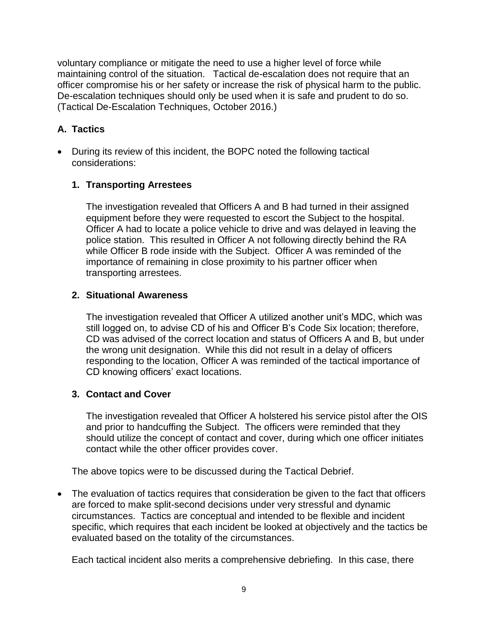voluntary compliance or mitigate the need to use a higher level of force while maintaining control of the situation. Tactical de-escalation does not require that an officer compromise his or her safety or increase the risk of physical harm to the public. De-escalation techniques should only be used when it is safe and prudent to do so. (Tactical De-Escalation Techniques, October 2016.)

# **A. Tactics**

• During its review of this incident, the BOPC noted the following tactical considerations:

# **1. Transporting Arrestees**

The investigation revealed that Officers A and B had turned in their assigned equipment before they were requested to escort the Subject to the hospital. Officer A had to locate a police vehicle to drive and was delayed in leaving the police station. This resulted in Officer A not following directly behind the RA while Officer B rode inside with the Subject. Officer A was reminded of the importance of remaining in close proximity to his partner officer when transporting arrestees.

#### **2. Situational Awareness**

The investigation revealed that Officer A utilized another unit's MDC, which was still logged on, to advise CD of his and Officer B's Code Six location; therefore, CD was advised of the correct location and status of Officers A and B, but under the wrong unit designation. While this did not result in a delay of officers responding to the location, Officer A was reminded of the tactical importance of CD knowing officers' exact locations.

# **3. Contact and Cover**

The investigation revealed that Officer A holstered his service pistol after the OIS and prior to handcuffing the Subject. The officers were reminded that they should utilize the concept of contact and cover, during which one officer initiates contact while the other officer provides cover.

The above topics were to be discussed during the Tactical Debrief.

• The evaluation of tactics requires that consideration be given to the fact that officers are forced to make split-second decisions under very stressful and dynamic circumstances. Tactics are conceptual and intended to be flexible and incident specific, which requires that each incident be looked at objectively and the tactics be evaluated based on the totality of the circumstances.

Each tactical incident also merits a comprehensive debriefing. In this case, there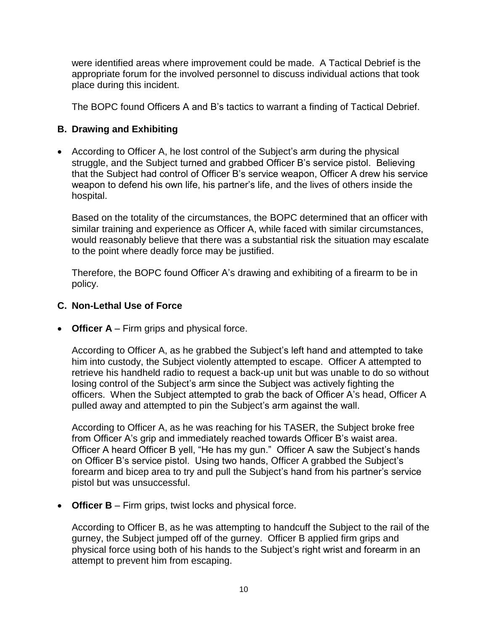were identified areas where improvement could be made. A Tactical Debrief is the appropriate forum for the involved personnel to discuss individual actions that took place during this incident.

The BOPC found Officers A and B's tactics to warrant a finding of Tactical Debrief.

#### **B. Drawing and Exhibiting**

• According to Officer A, he lost control of the Subject's arm during the physical struggle, and the Subject turned and grabbed Officer B's service pistol. Believing that the Subject had control of Officer B's service weapon, Officer A drew his service weapon to defend his own life, his partner's life, and the lives of others inside the hospital.

Based on the totality of the circumstances, the BOPC determined that an officer with similar training and experience as Officer A, while faced with similar circumstances, would reasonably believe that there was a substantial risk the situation may escalate to the point where deadly force may be justified.

Therefore, the BOPC found Officer A's drawing and exhibiting of a firearm to be in policy.

#### **C. Non-Lethal Use of Force**

• **Officer A** – Firm grips and physical force.

According to Officer A, as he grabbed the Subject's left hand and attempted to take him into custody, the Subject violently attempted to escape. Officer A attempted to retrieve his handheld radio to request a back-up unit but was unable to do so without losing control of the Subject's arm since the Subject was actively fighting the officers. When the Subject attempted to grab the back of Officer A's head, Officer A pulled away and attempted to pin the Subject's arm against the wall.

According to Officer A, as he was reaching for his TASER, the Subject broke free from Officer A's grip and immediately reached towards Officer B's waist area. Officer A heard Officer B yell, "He has my gun." Officer A saw the Subject's hands on Officer B's service pistol. Using two hands, Officer A grabbed the Subject's forearm and bicep area to try and pull the Subject's hand from his partner's service pistol but was unsuccessful.

• **Officer B** – Firm grips, twist locks and physical force.

According to Officer B, as he was attempting to handcuff the Subject to the rail of the gurney, the Subject jumped off of the gurney. Officer B applied firm grips and physical force using both of his hands to the Subject's right wrist and forearm in an attempt to prevent him from escaping.